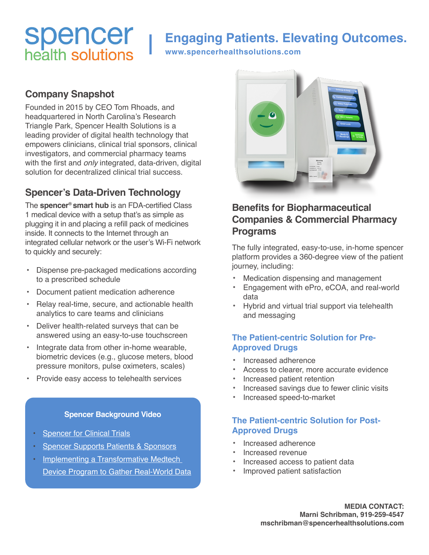# **Spencer**<br>health solutions

# **Engaging Patients. Elevating Outcomes.**

**www.spencerhealthsolutions.com**

### **Company Snapshot**

Founded in 2015 by CEO Tom Rhoads, and headquartered in North Carolina's Research Triangle Park, Spencer Health Solutions is a leading provider of digital health technology that empowers clinicians, clinical trial sponsors, clinical investigators, and commercial pharmacy teams with the first and *only* integrated, data-driven, digital solution for decentralized clinical trial success.

## **Spencer's Data-Driven Technology**

The **spencer® smart hub** is an FDA-certified Class 1 medical device with a setup that's as simple as plugging it in and placing a refill pack of medicines inside. It connects to the Internet through an integrated cellular network or the user's Wi-Fi network to quickly and securely:

- Dispense pre-packaged medications according to a prescribed schedule
- Document patient medication adherence
- Relay real-time, secure, and actionable health analytics to care teams and clinicians
- Deliver health-related surveys that can be answered using an easy-to-use touchscreen
- Integrate data from other in-home wearable, biometric devices (e.g., glucose meters, blood pressure monitors, pulse oximeters, scales)
- Provide easy access to telehealth services

#### **Spencer Background Video**

- **[Spencer for Clinical Trials](https://vimeo.com/604993721)**
- **[Spencer Supports Patients & Sponsors](https://vimeo.com/604998056)**
- Implementing a Transformative Medtech [Device Program to Gather Real-World Data](https://vimeo.com/516431001)



### **Benefits for Biopharmaceutical Companies & Commercial Pharmacy Programs**

The fully integrated, easy-to-use, in-home spencer platform provides a 360-degree view of the patient journey, including:

- Medication dispensing and management
- Engagement with ePro, eCOA, and real-world data
- Hybrid and virtual trial support via telehealth and messaging

#### **The Patient-centric Solution for Pre-Approved Drugs**

- Increased adherence
- Access to clearer, more accurate evidence
- Increased patient retention
- Increased savings due to fewer clinic visits
- Increased speed-to-market

#### **The Patient-centric Solution for Post-Approved Drugs**

- Increased adherence
- Increased revenue
- Increased access to patient data
- Improved patient satisfaction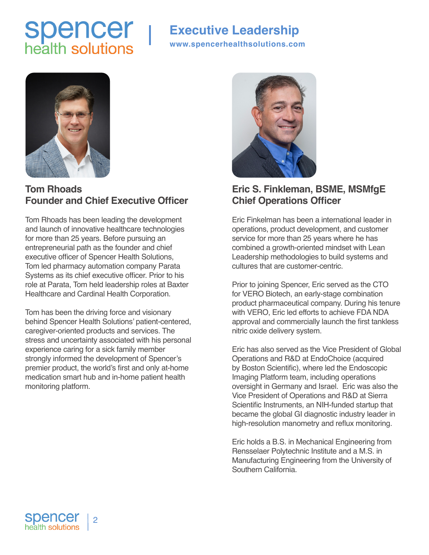# **Spencer**<br>health solutions

# **Executive Leadership**

**www.spencerhealthsolutions.com**



## **Tom Rhoads Founder and Chief Executive Officer**

Tom Rhoads has been leading the development and launch of innovative healthcare technologies for more than 25 years. Before pursuing an entrepreneurial path as the founder and chief executive officer of Spencer Health Solutions, Tom led pharmacy automation company Parata Systems as its chief executive officer. Prior to his role at Parata, Tom held leadership roles at Baxter Healthcare and Cardinal Health Corporation.

Tom has been the driving force and visionary behind Spencer Health Solutions' patient-centered, caregiver-oriented products and services. The stress and uncertainty associated with his personal experience caring for a sick family member strongly informed the development of Spencer's premier product, the world's first and only at-home medication smart hub and in-home patient health monitoring platform.



### **Eric S. Finkleman, BSME, MSMfgE Chief Operations Officer**

Eric Finkelman has been a international leader in operations, product development, and customer service for more than 25 years where he has combined a growth-oriented mindset with Lean Leadership methodologies to build systems and cultures that are customer-centric.

Prior to joining Spencer, Eric served as the CTO for VERO Biotech, an early-stage combination product pharmaceutical company. During his tenure with VERO, Eric led efforts to achieve FDA NDA approval and commercially launch the first tankless nitric oxide delivery system.

Eric has also served as the Vice President of Global Operations and R&D at EndoChoice (acquired by Boston Scientific), where led the Endoscopic Imaging Platform team, including operations oversight in Germany and Israel. Eric was also the Vice President of Operations and R&D at Sierra Scientific Instruments, an NIH-funded startup that became the global GI diagnostic industry leader in high-resolution manometry and reflux monitoring.

Eric holds a B.S. in Mechanical Engineering from Rensselaer Polytechnic Institute and a M.S. in Manufacturing Engineering from the University of Southern California.